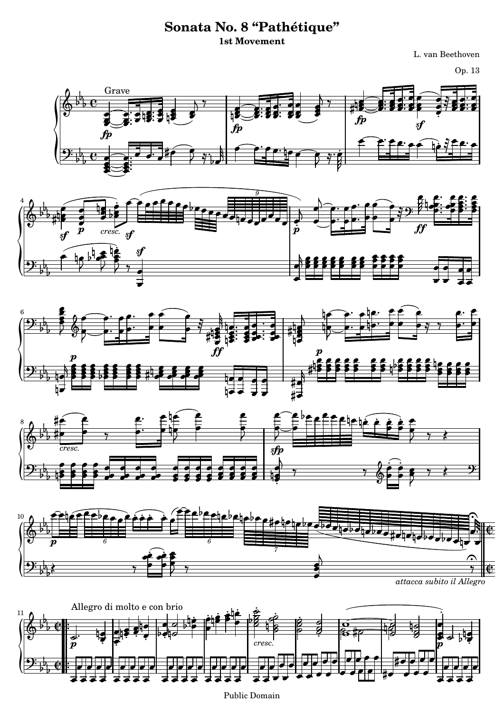## **Sonata No. 8 "Pathétique" 1st Movement**

L. van Beethoven

Op. 13













Public Domain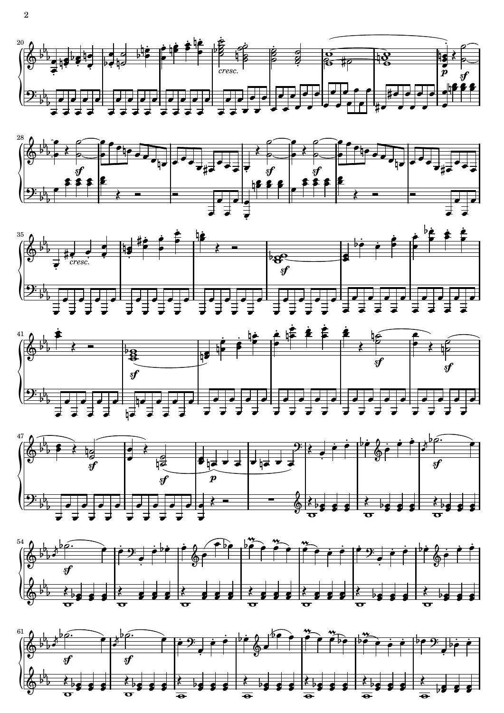











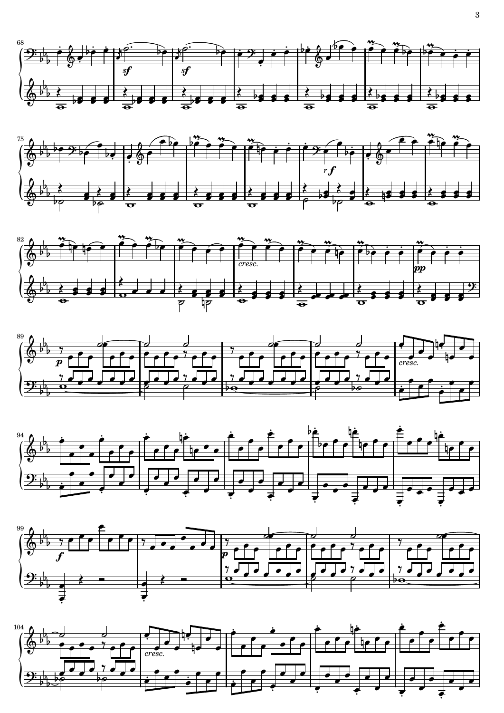











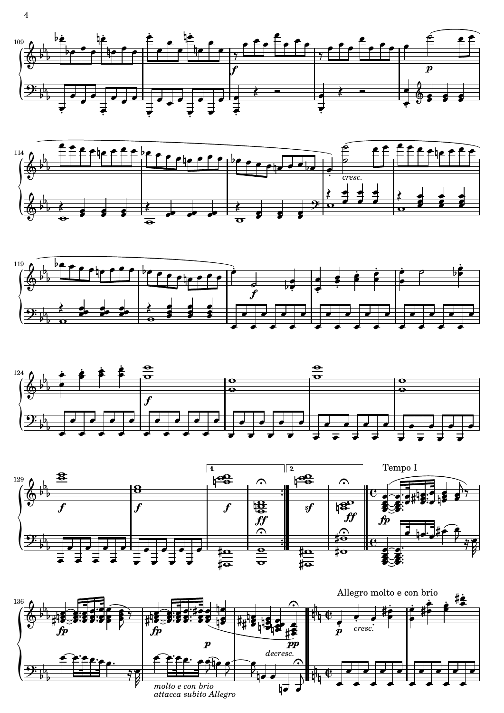









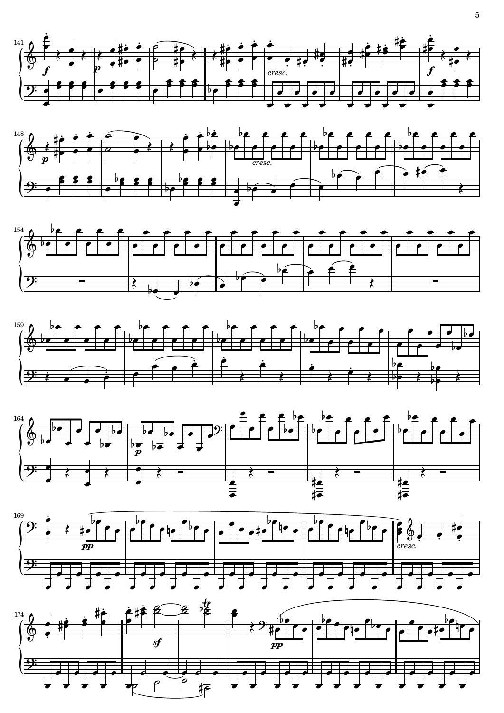











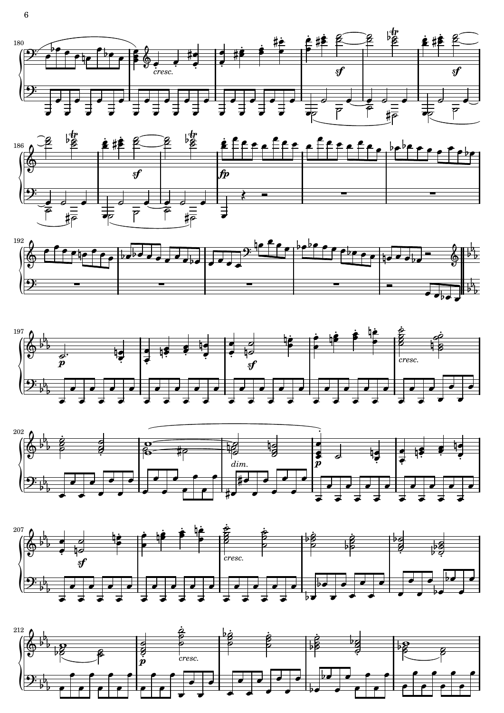











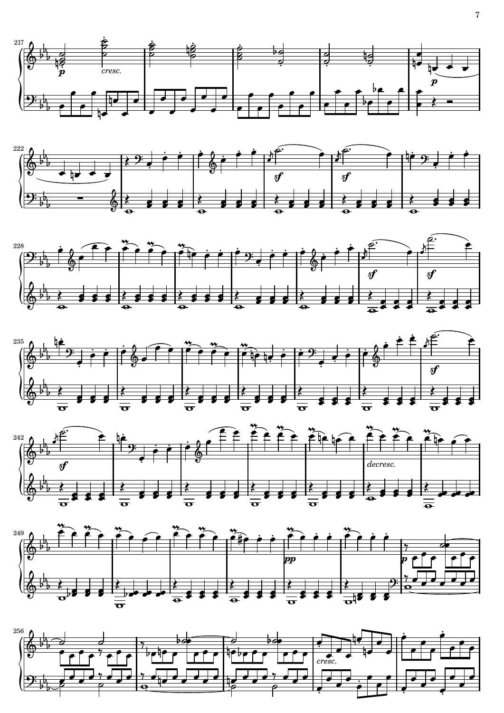











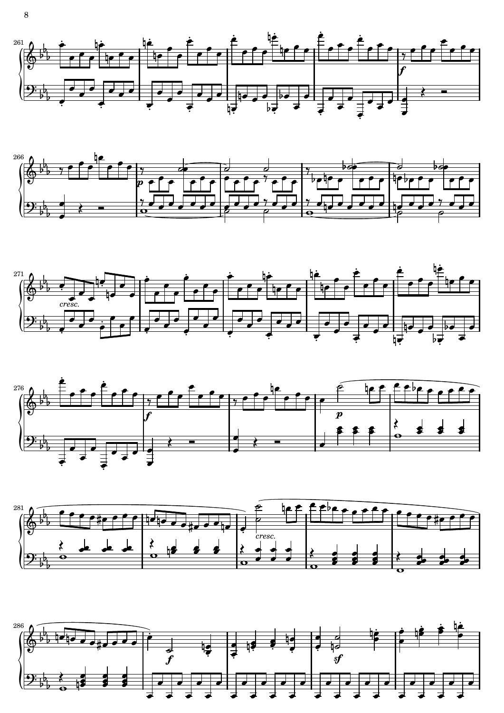